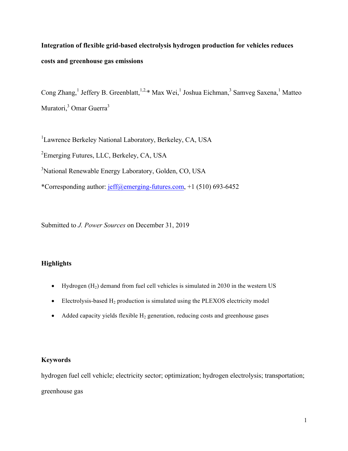# **Integration of flexible grid-based electrolysis hydrogen production for vehicles reduces costs and greenhouse gas emissions**

Cong Zhang,<sup>1</sup> Jeffery B. Greenblatt,<sup>1,2,\*</sup> Max Wei,<sup>1</sup> Joshua Eichman,<sup>3</sup> Samveg Saxena,<sup>1</sup> Matteo Muratori,<sup>3</sup> Omar Guerra<sup>3</sup>

<sup>1</sup>Lawrence Berkeley National Laboratory, Berkeley, CA, USA <sup>2</sup> Emerging Futures, LLC, Berkeley, CA, USA <sup>3</sup>National Renewable Energy Laboratory, Golden, CO, USA \*Corresponding author: jeff@emerging-futures.com, +1 (510) 693-6452

Submitted to *J. Power Sources* on December 31, 2019

# **Highlights**

- Hydrogen  $(H_2)$  demand from fuel cell vehicles is simulated in 2030 in the western US
- Electrolysis-based  $H_2$  production is simulated using the PLEXOS electricity model
- Added capacity yields flexible  $H_2$  generation, reducing costs and greenhouse gases

# **Keywords**

hydrogen fuel cell vehicle; electricity sector; optimization; hydrogen electrolysis; transportation; greenhouse gas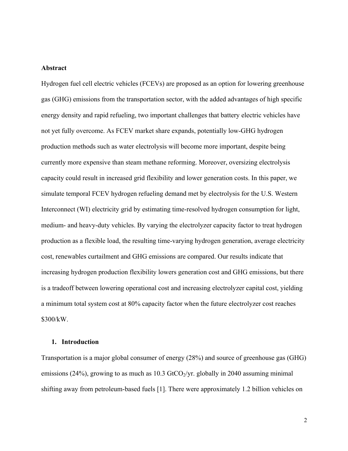#### **Abstract**

Hydrogen fuel cell electric vehicles (FCEVs) are proposed as an option for lowering greenhouse gas (GHG) emissions from the transportation sector, with the added advantages of high specific energy density and rapid refueling, two important challenges that battery electric vehicles have not yet fully overcome. As FCEV market share expands, potentially low-GHG hydrogen production methods such as water electrolysis will become more important, despite being currently more expensive than steam methane reforming. Moreover, oversizing electrolysis capacity could result in increased grid flexibility and lower generation costs. In this paper, we simulate temporal FCEV hydrogen refueling demand met by electrolysis for the U.S. Western Interconnect (WI) electricity grid by estimating time-resolved hydrogen consumption for light, medium- and heavy-duty vehicles. By varying the electrolyzer capacity factor to treat hydrogen production as a flexible load, the resulting time-varying hydrogen generation, average electricity cost, renewables curtailment and GHG emissions are compared. Our results indicate that increasing hydrogen production flexibility lowers generation cost and GHG emissions, but there is a tradeoff between lowering operational cost and increasing electrolyzer capital cost, yielding a minimum total system cost at 80% capacity factor when the future electrolyzer cost reaches \$300/kW.

#### **1. Introduction**

Transportation is a major global consumer of energy (28%) and source of greenhouse gas (GHG) emissions (24%), growing to as much as  $10.3$  GtCO<sub>2</sub>/yr. globally in 2040 assuming minimal shifting away from petroleum-based fuels [1]. There were approximately 1.2 billion vehicles on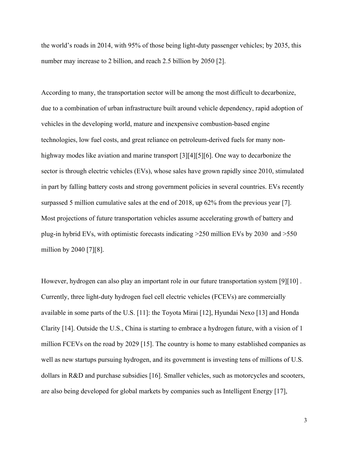the world's roads in 2014, with 95% of those being light-duty passenger vehicles; by 2035, this number may increase to 2 billion, and reach 2.5 billion by 2050 [2].

According to many, the transportation sector will be among the most difficult to decarbonize, due to a combination of urban infrastructure built around vehicle dependency, rapid adoption of vehicles in the developing world, mature and inexpensive combustion-based engine technologies, low fuel costs, and great reliance on petroleum-derived fuels for many nonhighway modes like aviation and marine transport [3][4][5][6]. One way to decarbonize the sector is through electric vehicles (EVs), whose sales have grown rapidly since 2010, stimulated in part by falling battery costs and strong government policies in several countries. EVs recently surpassed 5 million cumulative sales at the end of 2018, up 62% from the previous year [7]. Most projections of future transportation vehicles assume accelerating growth of battery and plug-in hybrid EVs, with optimistic forecasts indicating >250 million EVs by 2030 and >550 million by 2040 [7][8].

However, hydrogen can also play an important role in our future transportation system [9][10] . Currently, three light-duty hydrogen fuel cell electric vehicles (FCEVs) are commercially available in some parts of the U.S. [11]: the Toyota Mirai [12], Hyundai Nexo [13] and Honda Clarity [14]. Outside the U.S., China is starting to embrace a hydrogen future, with a vision of 1 million FCEVs on the road by 2029 [15]. The country is home to many established companies as well as new startups pursuing hydrogen, and its government is investing tens of millions of U.S. dollars in R&D and purchase subsidies [16]. Smaller vehicles, such as motorcycles and scooters, are also being developed for global markets by companies such as Intelligent Energy [17],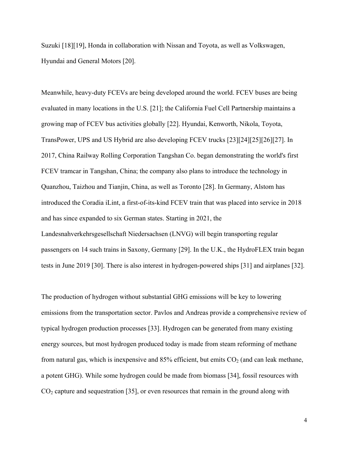Suzuki [18][19], Honda in collaboration with Nissan and Toyota, as well as Volkswagen, Hyundai and General Motors [20].

Meanwhile, heavy-duty FCEVs are being developed around the world. FCEV buses are being evaluated in many locations in the U.S. [21]; the California Fuel Cell Partnership maintains a growing map of FCEV bus activities globally [22]. Hyundai, Kenworth, Nikola, Toyota, TransPower, UPS and US Hybrid are also developing FCEV trucks [23][24][25][26][27]. In 2017, China Railway Rolling Corporation Tangshan Co. began demonstrating the world's first FCEV tramcar in Tangshan, China; the company also plans to introduce the technology in Quanzhou, Taizhou and Tianjin, China, as well as Toronto [28]. In Germany, Alstom has introduced the Coradia iLint, a first-of-its-kind FCEV train that was placed into service in 2018 and has since expanded to six German states. Starting in 2021, the Landesnahverkehrsgesellschaft Niedersachsen (LNVG) will begin transporting regular passengers on 14 such trains in Saxony, Germany [29]. In the U.K., the HydroFLEX train began tests in June 2019 [30]. There is also interest in hydrogen-powered ships [31] and airplanes [32].

The production of hydrogen without substantial GHG emissions will be key to lowering emissions from the transportation sector. Pavlos and Andreas provide a comprehensive review of typical hydrogen production processes [33]. Hydrogen can be generated from many existing energy sources, but most hydrogen produced today is made from steam reforming of methane from natural gas, which is inexpensive and  $85\%$  efficient, but emits  $CO<sub>2</sub>$  (and can leak methane, a potent GHG). While some hydrogen could be made from biomass [34], fossil resources with  $CO<sub>2</sub>$  capture and sequestration [35], or even resources that remain in the ground along with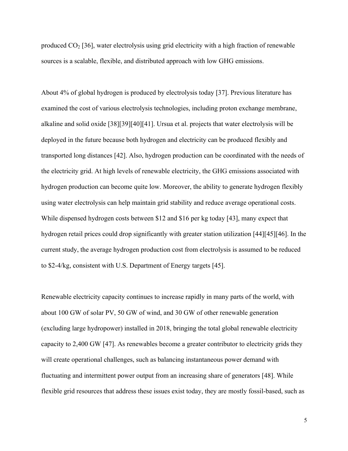produced  $CO<sub>2</sub>$  [36], water electrolysis using grid electricity with a high fraction of renewable sources is a scalable, flexible, and distributed approach with low GHG emissions.

About 4% of global hydrogen is produced by electrolysis today [37]. Previous literature has examined the cost of various electrolysis technologies, including proton exchange membrane, alkaline and solid oxide [38][39][40][41]. Ursua et al. projects that water electrolysis will be deployed in the future because both hydrogen and electricity can be produced flexibly and transported long distances [42]. Also, hydrogen production can be coordinated with the needs of the electricity grid. At high levels of renewable electricity, the GHG emissions associated with hydrogen production can become quite low. Moreover, the ability to generate hydrogen flexibly using water electrolysis can help maintain grid stability and reduce average operational costs. While dispensed hydrogen costs between \$12 and \$16 per kg today [43], many expect that hydrogen retail prices could drop significantly with greater station utilization [44][45][46]. In the current study, the average hydrogen production cost from electrolysis is assumed to be reduced to \$2-4/kg, consistent with U.S. Department of Energy targets [45].

Renewable electricity capacity continues to increase rapidly in many parts of the world, with about 100 GW of solar PV, 50 GW of wind, and 30 GW of other renewable generation (excluding large hydropower) installed in 2018, bringing the total global renewable electricity capacity to 2,400 GW [47]. As renewables become a greater contributor to electricity grids they will create operational challenges, such as balancing instantaneous power demand with fluctuating and intermittent power output from an increasing share of generators [48]. While flexible grid resources that address these issues exist today, they are mostly fossil-based, such as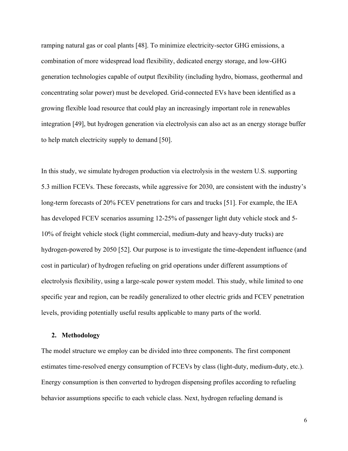ramping natural gas or coal plants [48]. To minimize electricity-sector GHG emissions, a combination of more widespread load flexibility, dedicated energy storage, and low-GHG generation technologies capable of output flexibility (including hydro, biomass, geothermal and concentrating solar power) must be developed. Grid-connected EVs have been identified as a growing flexible load resource that could play an increasingly important role in renewables integration [49], but hydrogen generation via electrolysis can also act as an energy storage buffer to help match electricity supply to demand [50].

In this study, we simulate hydrogen production via electrolysis in the western U.S. supporting 5.3 million FCEVs. These forecasts, while aggressive for 2030, are consistent with the industry's long-term forecasts of 20% FCEV penetrations for cars and trucks [51]. For example, the IEA has developed FCEV scenarios assuming 12-25% of passenger light duty vehicle stock and 5- 10% of freight vehicle stock (light commercial, medium-duty and heavy-duty trucks) are hydrogen-powered by 2050 [52]. Our purpose is to investigate the time-dependent influence (and cost in particular) of hydrogen refueling on grid operations under different assumptions of electrolysis flexibility, using a large-scale power system model. This study, while limited to one specific year and region, can be readily generalized to other electric grids and FCEV penetration levels, providing potentially useful results applicable to many parts of the world.

#### **2. Methodology**

The model structure we employ can be divided into three components. The first component estimates time-resolved energy consumption of FCEVs by class (light-duty, medium-duty, etc.). Energy consumption is then converted to hydrogen dispensing profiles according to refueling behavior assumptions specific to each vehicle class. Next, hydrogen refueling demand is

6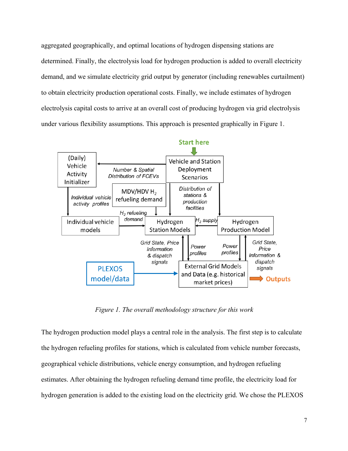aggregated geographically, and optimal locations of hydrogen dispensing stations are determined. Finally, the electrolysis load for hydrogen production is added to overall electricity demand, and we simulate electricity grid output by generator (including renewables curtailment) to obtain electricity production operational costs. Finally, we include estimates of hydrogen electrolysis capital costs to arrive at an overall cost of producing hydrogen via grid electrolysis under various flexibility assumptions. This approach is presented graphically in Figure 1.



*Figure 1. The overall methodology structure for this work*

The hydrogen production model plays a central role in the analysis. The first step is to calculate the hydrogen refueling profiles for stations, which is calculated from vehicle number forecasts, geographical vehicle distributions, vehicle energy consumption, and hydrogen refueling estimates. After obtaining the hydrogen refueling demand time profile, the electricity load for hydrogen generation is added to the existing load on the electricity grid. We chose the PLEXOS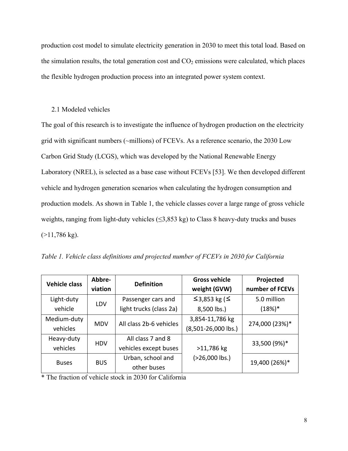production cost model to simulate electricity generation in 2030 to meet this total load. Based on the simulation results, the total generation cost and  $CO<sub>2</sub>$  emissions were calculated, which places the flexible hydrogen production process into an integrated power system context.

## 2.1 Modeled vehicles

The goal of this research is to investigate the influence of hydrogen production on the electricity grid with significant numbers (~millions) of FCEVs. As a reference scenario, the 2030 Low Carbon Grid Study (LCGS), which was developed by the National Renewable Energy Laboratory (NREL), is selected as a base case without FCEVs [53]. We then developed different vehicle and hydrogen generation scenarios when calculating the hydrogen consumption and production models. As shown in Table 1, the vehicle classes cover a large range of gross vehicle weights, ranging from light-duty vehicles  $(\leq)3,853 \text{ kg}$  to Class 8 heavy-duty trucks and buses  $(>11,786 \text{ kg}).$ 

| <b>Vehicle class</b> | Abbre-     | <b>Definition</b>       | <b>Gross vehicle</b>     | Projected       |  |
|----------------------|------------|-------------------------|--------------------------|-----------------|--|
|                      | viation    |                         | weight (GVW)             | number of FCEVs |  |
| Light-duty           | LDV        | Passenger cars and      | $\leq$ 3,853 kg ( $\leq$ | 5.0 million     |  |
| vehicle              |            | light trucks (class 2a) | 8,500 lbs.)              | $(18%)*$        |  |
| Medium-duty          | <b>MDV</b> | All class 2b-6 vehicles | 3,854-11,786 kg          | 274,000 (23%)*  |  |
| vehicles             |            |                         | $(8,501-26,000$ lbs.)    |                 |  |
| Heavy-duty           | <b>HDV</b> | All class 7 and 8       |                          | 33,500 (9%)*    |  |
| vehicles             |            | vehicles except buses   | >11,786 kg               |                 |  |
| <b>Buses</b>         | <b>BUS</b> | Urban, school and       | (>26,000 lbs.)           | 19,400 (26%)*   |  |
|                      |            | other buses             |                          |                 |  |

|  |  | Table 1. Vehicle class definitions and projected number of FCEVs in 2030 for California |  |
|--|--|-----------------------------------------------------------------------------------------|--|
|  |  |                                                                                         |  |

\* The fraction of vehicle stock in 2030 for California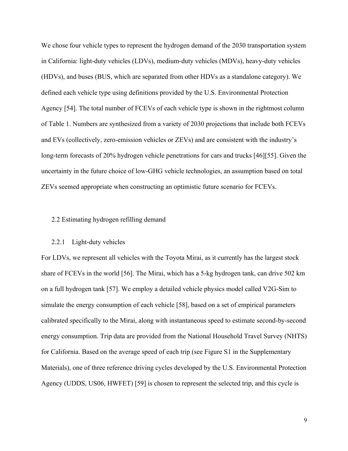We chose four vehicle types to represent the hydrogen demand of the 2030 transportation system in California: light-duty vehicles (LDVs), medium-duty vehicles (MDVs), heavy-duty vehicles (HDVs), and buses (BUS, which are separated from other HDVs as a standalone category). We defined each vehicle type using definitions provided by the U.S. Environmental Protection Agency [54]. The total number of FCEVs of each vehicle type is shown in the rightmost column of Table 1. Numbers are synthesized from a variety of 2030 projections that include both FCEVs and EVs (collectively, zero-emission vehicles or ZEVs) and are consistent with the industry's long-term forecasts of 20% hydrogen vehicle penetrations for cars and trucks [46][55]. Given the uncertainty in the future choice of low-GHG vehicle technologies, an assumption based on total ZEVs seemed appropriate when constructing an optimistic future scenario for FCEVs.

# 2.2 Estimating hydrogen refilling demand

#### 2.2.1 Light-duty vehicles

For LDVs, we represent all vehicles with the Toyota Mirai, as it currently has the largest stock share of FCEVs in the world [56]. The Mirai, which has a 5-kg hydrogen tank, can drive 502 km on a full hydrogen tank [57]. We employ a detailed vehicle physics model called V2G-Sim to simulate the energy consumption of each vehicle [58], based on a set of empirical parameters calibrated specifically to the Mirai, along with instantaneous speed to estimate second-by-second energy consumption. Trip data are provided from the National Household Travel Survey (NHTS) for California. Based on the average speed of each trip (see Figure S1 in the Supplementary Materials), one of three reference driving cycles developed by the U.S. Environmental Protection Agency (UDDS, US06, HWFET) [59] is chosen to represent the selected trip, and this cycle is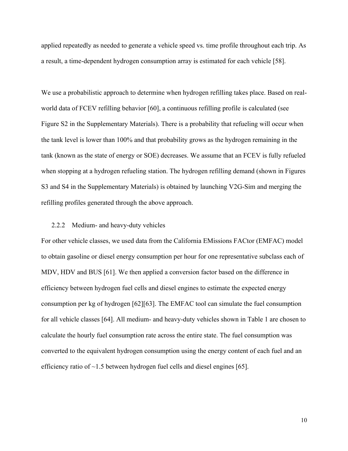applied repeatedly as needed to generate a vehicle speed vs. time profile throughout each trip. As a result, a time-dependent hydrogen consumption array is estimated for each vehicle [58].

We use a probabilistic approach to determine when hydrogen refilling takes place. Based on realworld data of FCEV refilling behavior [60], a continuous refilling profile is calculated (see Figure S2 in the Supplementary Materials). There is a probability that refueling will occur when the tank level is lower than 100% and that probability grows as the hydrogen remaining in the tank (known as the state of energy or SOE) decreases. We assume that an FCEV is fully refueled when stopping at a hydrogen refueling station. The hydrogen refilling demand (shown in Figures S3 and S4 in the Supplementary Materials) is obtained by launching V2G-Sim and merging the refilling profiles generated through the above approach.

## 2.2.2 Medium- and heavy-duty vehicles

For other vehicle classes, we used data from the California EMissions FACtor (EMFAC) model to obtain gasoline or diesel energy consumption per hour for one representative subclass each of MDV, HDV and BUS [61]. We then applied a conversion factor based on the difference in efficiency between hydrogen fuel cells and diesel engines to estimate the expected energy consumption per kg of hydrogen [62][63]. The EMFAC tool can simulate the fuel consumption for all vehicle classes [64]. All medium- and heavy-duty vehicles shown in Table 1 are chosen to calculate the hourly fuel consumption rate across the entire state. The fuel consumption was converted to the equivalent hydrogen consumption using the energy content of each fuel and an efficiency ratio of ~1.5 between hydrogen fuel cells and diesel engines [65].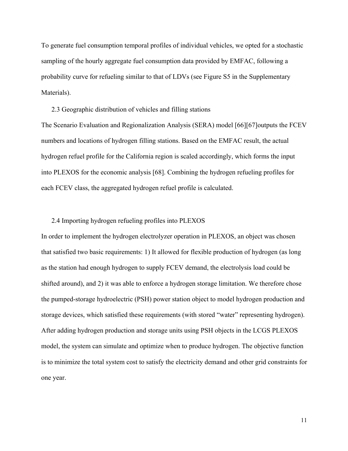To generate fuel consumption temporal profiles of individual vehicles, we opted for a stochastic sampling of the hourly aggregate fuel consumption data provided by EMFAC, following a probability curve for refueling similar to that of LDVs (see Figure S5 in the Supplementary Materials).

2.3 Geographic distribution of vehicles and filling stations

The Scenario Evaluation and Regionalization Analysis (SERA) model [66][67]outputs the FCEV numbers and locations of hydrogen filling stations. Based on the EMFAC result, the actual hydrogen refuel profile for the California region is scaled accordingly, which forms the input into PLEXOS for the economic analysis [68]. Combining the hydrogen refueling profiles for each FCEV class, the aggregated hydrogen refuel profile is calculated.

# 2.4 Importing hydrogen refueling profiles into PLEXOS

In order to implement the hydrogen electrolyzer operation in PLEXOS, an object was chosen that satisfied two basic requirements: 1) It allowed for flexible production of hydrogen (as long as the station had enough hydrogen to supply FCEV demand, the electrolysis load could be shifted around), and 2) it was able to enforce a hydrogen storage limitation. We therefore chose the pumped-storage hydroelectric (PSH) power station object to model hydrogen production and storage devices, which satisfied these requirements (with stored "water" representing hydrogen). After adding hydrogen production and storage units using PSH objects in the LCGS PLEXOS model, the system can simulate and optimize when to produce hydrogen. The objective function is to minimize the total system cost to satisfy the electricity demand and other grid constraints for one year.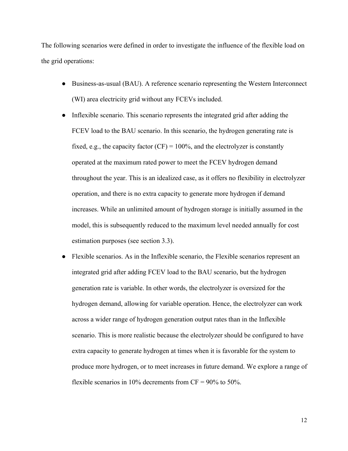The following scenarios were defined in order to investigate the influence of the flexible load on the grid operations:

- Business-as-usual (BAU). A reference scenario representing the Western Interconnect (WI) area electricity grid without any FCEVs included.
- Inflexible scenario. This scenario represents the integrated grid after adding the FCEV load to the BAU scenario. In this scenario, the hydrogen generating rate is fixed, e.g., the capacity factor  $(CF) = 100\%$ , and the electrolyzer is constantly operated at the maximum rated power to meet the FCEV hydrogen demand throughout the year. This is an idealized case, as it offers no flexibility in electrolyzer operation, and there is no extra capacity to generate more hydrogen if demand increases. While an unlimited amount of hydrogen storage is initially assumed in the model, this is subsequently reduced to the maximum level needed annually for cost estimation purposes (see section 3.3).
- Flexible scenarios. As in the Inflexible scenario, the Flexible scenarios represent an integrated grid after adding FCEV load to the BAU scenario, but the hydrogen generation rate is variable. In other words, the electrolyzer is oversized for the hydrogen demand, allowing for variable operation. Hence, the electrolyzer can work across a wider range of hydrogen generation output rates than in the Inflexible scenario. This is more realistic because the electrolyzer should be configured to have extra capacity to generate hydrogen at times when it is favorable for the system to produce more hydrogen, or to meet increases in future demand. We explore a range of flexible scenarios in 10% decrements from  $CF = 90\%$  to 50%.

12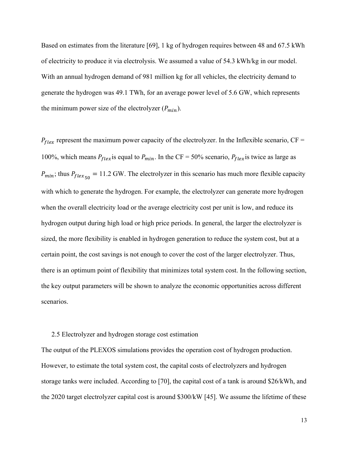Based on estimates from the literature [69], 1 kg of hydrogen requires between 48 and 67.5 kWh of electricity to produce it via electrolysis. We assumed a value of 54.3 kWh/kg in our model. With an annual hydrogen demand of 981 million kg for all vehicles, the electricity demand to generate the hydrogen was 49.1 TWh, for an average power level of 5.6 GW, which represents the minimum power size of the electrolyzer  $(P_{min})$ .

 $P_{flex}$  represent the maximum power capacity of the electrolyzer. In the Inflexible scenario, CF = 100%, which means  $P_{flex}$  is equal to  $P_{min}$ . In the CF = 50% scenario,  $P_{flex}$  is twice as large as  $P_{min}$ ; thus  $P_{flex_{50}} = 11.2$  GW. The electrolyzer in this scenario has much more flexible capacity with which to generate the hydrogen. For example, the electrolyzer can generate more hydrogen when the overall electricity load or the average electricity cost per unit is low, and reduce its hydrogen output during high load or high price periods. In general, the larger the electrolyzer is sized, the more flexibility is enabled in hydrogen generation to reduce the system cost, but at a certain point, the cost savings is not enough to cover the cost of the larger electrolyzer. Thus, there is an optimum point of flexibility that minimizes total system cost. In the following section, the key output parameters will be shown to analyze the economic opportunities across different scenarios.

#### 2.5 Electrolyzer and hydrogen storage cost estimation

The output of the PLEXOS simulations provides the operation cost of hydrogen production. However, to estimate the total system cost, the capital costs of electrolyzers and hydrogen storage tanks were included. According to [70], the capital cost of a tank is around \$26/kWh, and the 2020 target electrolyzer capital cost is around \$300/kW [45]. We assume the lifetime of these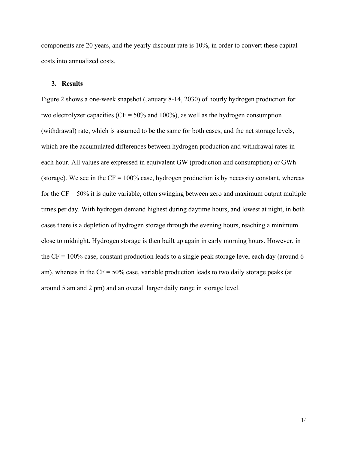components are 20 years, and the yearly discount rate is 10%, in order to convert these capital costs into annualized costs.

#### **3. Results**

Figure 2 shows a one-week snapshot (January 8-14, 2030) of hourly hydrogen production for two electrolyzer capacities ( $CF = 50\%$  and 100%), as well as the hydrogen consumption (withdrawal) rate, which is assumed to be the same for both cases, and the net storage levels, which are the accumulated differences between hydrogen production and withdrawal rates in each hour. All values are expressed in equivalent GW (production and consumption) or GWh (storage). We see in the  $CF = 100\%$  case, hydrogen production is by necessity constant, whereas for the  $CF = 50\%$  it is quite variable, often swinging between zero and maximum output multiple times per day. With hydrogen demand highest during daytime hours, and lowest at night, in both cases there is a depletion of hydrogen storage through the evening hours, reaching a minimum close to midnight. Hydrogen storage is then built up again in early morning hours. However, in the  $CF = 100\%$  case, constant production leads to a single peak storage level each day (around 6) am), whereas in the  $CF = 50\%$  case, variable production leads to two daily storage peaks (at around 5 am and 2 pm) and an overall larger daily range in storage level.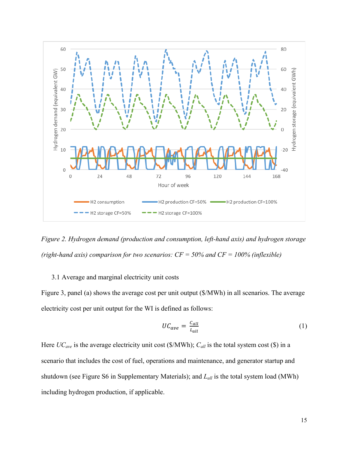

*Figure 2. Hydrogen demand (production and consumption, left-hand axis) and hydrogen storage (right-hand axis) comparison for two scenarios: CF = 50% and CF = 100% (inflexible)*

# 3.1 Average and marginal electricity unit costs

Figure 3, panel (a) shows the average cost per unit output (\$/MWh) in all scenarios. The average electricity cost per unit output for the WI is defined as follows:

$$
UC_{ave} = \frac{c_{all}}{L_{all}} \tag{1}
$$

Here *UC<sub>ave</sub>* is the average electricity unit cost (\$/MWh);  $C_{all}$  is the total system cost (\$) in a scenario that includes the cost of fuel, operations and maintenance, and generator startup and shutdown (see Figure S6 in Supplementary Materials); and *Lall* is the total system load (MWh) including hydrogen production, if applicable.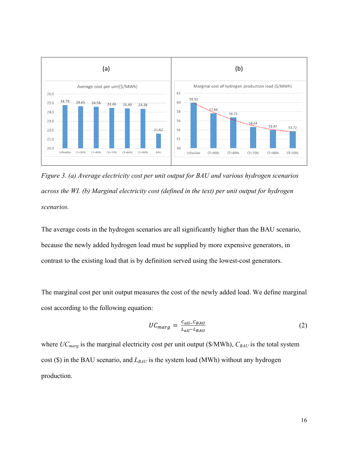

*Figure 3. (a) Average electricity cost per unit output for BAU and various hydrogen scenarios across the WI. (b) Marginal electricity cost (defined in the text) per unit output for hydrogen scenarios.*

The average costs in the hydrogen scenarios are all significantly higher than the BAU scenario, because the newly added hydrogen load must be supplied by more expensive generators, in contrast to the existing load that is by definition served using the lowest-cost generators.

The marginal cost per unit output measures the cost of the newly added load. We define marginal cost according to the following equation:

$$
UC_{marg} = \frac{c_{all} - c_{BAU}}{L_{all} - L_{BAU}}\tag{2}
$$

where  $UC_{marg}$  is the marginal electricity cost per unit output (\$/MWh),  $C_{BAU}$  is the total system cost (\$) in the BAU scenario, and  $L_{BAU}$  is the system load (MWh) without any hydrogen production.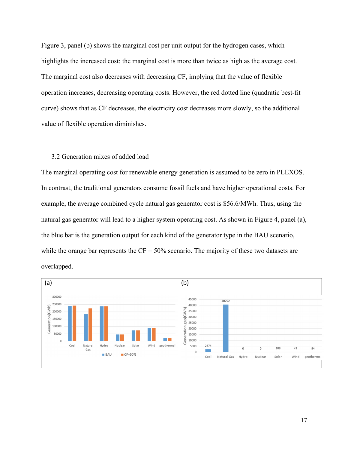Figure 3, panel (b) shows the marginal cost per unit output for the hydrogen cases, which highlights the increased cost: the marginal cost is more than twice as high as the average cost. The marginal cost also decreases with decreasing CF, implying that the value of flexible operation increases, decreasing operating costs. However, the red dotted line (quadratic best-fit curve) shows that as CF decreases, the electricity cost decreases more slowly, so the additional value of flexible operation diminishes.

# 3.2 Generation mixes of added load

The marginal operating cost for renewable energy generation is assumed to be zero in PLEXOS. In contrast, the traditional generators consume fossil fuels and have higher operational costs. For example, the average combined cycle natural gas generator cost is \$56.6/MWh. Thus, using the natural gas generator will lead to a higher system operating cost. As shown in Figure 4, panel (a), the blue bar is the generation output for each kind of the generator type in the BAU scenario, while the orange bar represents the  $CF = 50\%$  scenario. The majority of these two datasets are overlapped.

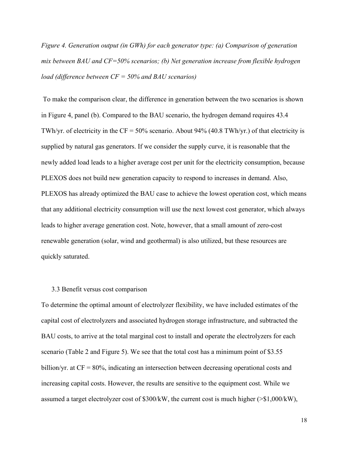*Figure 4. Generation output (in GWh) for each generator type: (a) Comparison of generation mix between BAU and CF=50% scenarios; (b) Net generation increase from flexible hydrogen load (difference between CF = 50% and BAU scenarios)* 

To make the comparison clear, the difference in generation between the two scenarios is shown in Figure 4, panel (b). Compared to the BAU scenario, the hydrogen demand requires 43.4 TWh/yr. of electricity in the  $CF = 50\%$  scenario. About 94% (40.8 TWh/yr.) of that electricity is supplied by natural gas generators. If we consider the supply curve, it is reasonable that the newly added load leads to a higher average cost per unit for the electricity consumption, because PLEXOS does not build new generation capacity to respond to increases in demand. Also, PLEXOS has already optimized the BAU case to achieve the lowest operation cost, which means that any additional electricity consumption will use the next lowest cost generator, which always leads to higher average generation cost. Note, however, that a small amount of zero-cost renewable generation (solar, wind and geothermal) is also utilized, but these resources are quickly saturated.

## 3.3 Benefit versus cost comparison

To determine the optimal amount of electrolyzer flexibility, we have included estimates of the capital cost of electrolyzers and associated hydrogen storage infrastructure, and subtracted the BAU costs, to arrive at the total marginal cost to install and operate the electrolyzers for each scenario (Table 2 and Figure 5). We see that the total cost has a minimum point of \$3.55 billion/yr. at CF = 80%, indicating an intersection between decreasing operational costs and increasing capital costs. However, the results are sensitive to the equipment cost. While we assumed a target electrolyzer cost of \$300/kW, the current cost is much higher (>\$1,000/kW),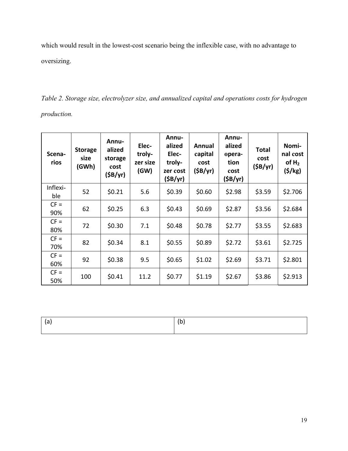which would result in the lowest-cost scenario being the inflexible case, with no advantage to oversizing.

*Table 2. Storage size, electrolyzer size, and annualized capital and operations costs for hydrogen production.*

| Scena-<br>rios  | <b>Storage</b><br>size<br>(GWh) | <b>Annu-</b><br>alized<br>storage<br>cost<br>(SB/yr) | Elec-<br>troly-<br>zer size<br>(GW) | <b>Annu-</b><br>alized<br>Elec-<br>troly-<br>zer cost<br>(SB/yr) | Annual<br>capital<br>cost<br>(SB/yr) | <b>Annu-</b><br>alized<br>opera-<br>tion<br>cost<br>(SB/yr) | <b>Total</b><br>cost<br>(SB/yr) | Nomi-<br>nal cost<br>of $H_2$<br>(5/kg) |
|-----------------|---------------------------------|------------------------------------------------------|-------------------------------------|------------------------------------------------------------------|--------------------------------------|-------------------------------------------------------------|---------------------------------|-----------------------------------------|
| Inflexi-<br>ble | 52                              | \$0.21                                               | 5.6                                 | \$0.39                                                           | \$0.60                               | \$2.98                                                      | \$3.59                          | \$2.706                                 |
| $CF =$<br>90%   | 62                              | \$0.25                                               | 6.3                                 | \$0.43                                                           | \$0.69                               | \$2.87                                                      | \$3.56                          | \$2.684                                 |
| $CF =$<br>80%   | 72                              | \$0.30                                               | 7.1                                 | \$0.48                                                           | \$0.78                               | \$2.77                                                      | \$3.55                          | \$2.683                                 |
| $CF =$<br>70%   | 82                              | \$0.34                                               | 8.1                                 | \$0.55                                                           | \$0.89                               | \$2.72                                                      | \$3.61                          | \$2.725                                 |
| $CF =$<br>60%   | 92                              | \$0.38                                               | 9.5                                 | \$0.65                                                           | \$1.02                               | \$2.69                                                      | \$3.71                          | \$2.801                                 |
| $CF =$<br>50%   | 100                             | \$0.41                                               | 11.2                                | \$0.77                                                           | \$1.19                               | \$2.67                                                      | \$3.86                          | \$2.913                                 |

| "<br>~ |
|--------|
|        |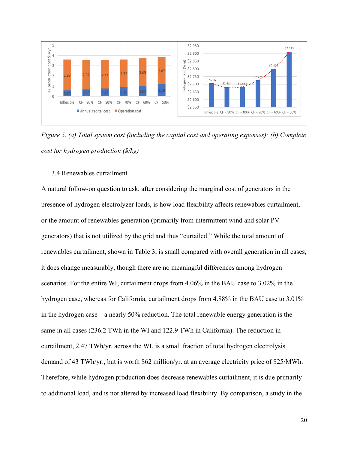

*Figure 5. (a) Total system cost (including the capital cost and operating expenses); (b) Complete cost for hydrogen production (\$/kg)*

# 3.4 Renewables curtailment

A natural follow-on question to ask, after considering the marginal cost of generators in the presence of hydrogen electrolyzer loads, is how load flexibility affects renewables curtailment, or the amount of renewables generation (primarily from intermittent wind and solar PV generators) that is not utilized by the grid and thus "curtailed." While the total amount of renewables curtailment, shown in Table 3, is small compared with overall generation in all cases, it does change measurably, though there are no meaningful differences among hydrogen scenarios. For the entire WI, curtailment drops from 4.06% in the BAU case to 3.02% in the hydrogen case, whereas for California, curtailment drops from 4.88% in the BAU case to 3.01% in the hydrogen case—a nearly 50% reduction. The total renewable energy generation is the same in all cases (236.2 TWh in the WI and 122.9 TWh in California). The reduction in curtailment, 2.47 TWh/yr. across the WI, is a small fraction of total hydrogen electrolysis demand of 43 TWh/yr., but is worth \$62 million/yr. at an average electricity price of \$25/MWh. Therefore, while hydrogen production does decrease renewables curtailment, it is due primarily to additional load, and is not altered by increased load flexibility. By comparison, a study in the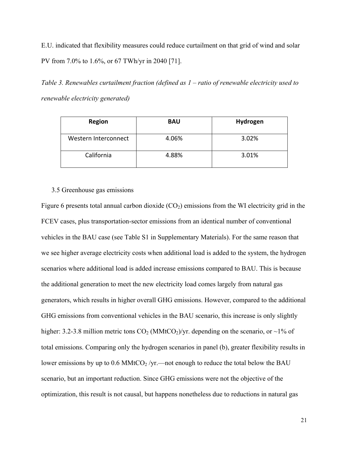E.U. indicated that flexibility measures could reduce curtailment on that grid of wind and solar PV from 7.0% to 1.6%, or 67 TWh/yr in 2040 [71].

*Table 3. Renewables curtailment fraction (defined as 1 – ratio of renewable electricity used to renewable electricity generated)*

| <b>Region</b>        | <b>BAU</b> | Hydrogen |
|----------------------|------------|----------|
| Western Interconnect | 4.06%      | 3.02%    |
| California           | 4.88%      | 3.01%    |

#### 3.5 Greenhouse gas emissions

Figure 6 presents total annual carbon dioxide  $(CO<sub>2</sub>)$  emissions from the WI electricity grid in the FCEV cases, plus transportation-sector emissions from an identical number of conventional vehicles in the BAU case (see Table S1 in Supplementary Materials). For the same reason that we see higher average electricity costs when additional load is added to the system, the hydrogen scenarios where additional load is added increase emissions compared to BAU. This is because the additional generation to meet the new electricity load comes largely from natural gas generators, which results in higher overall GHG emissions. However, compared to the additional GHG emissions from conventional vehicles in the BAU scenario, this increase is only slightly higher: 3.2-3.8 million metric tons  $CO_2$  (MMtCO<sub>2</sub>)/yr. depending on the scenario, or ~1% of total emissions. Comparing only the hydrogen scenarios in panel (b), greater flexibility results in lower emissions by up to  $0.6$  MMtCO<sub>2</sub> /yr.—not enough to reduce the total below the BAU scenario, but an important reduction. Since GHG emissions were not the objective of the optimization, this result is not causal, but happens nonetheless due to reductions in natural gas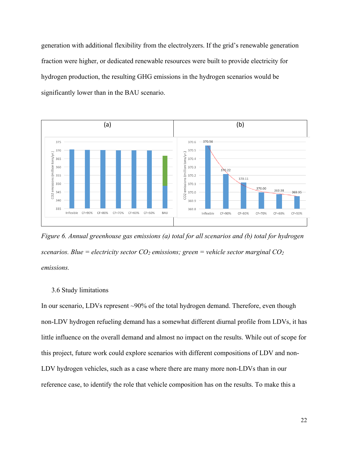generation with additional flexibility from the electrolyzers. If the grid's renewable generation fraction were higher, or dedicated renewable resources were built to provide electricity for hydrogen production, the resulting GHG emissions in the hydrogen scenarios would be significantly lower than in the BAU scenario.



*Figure 6. Annual greenhouse gas emissions (a) total for all scenarios and (b) total for hydrogen scenarios. Blue = electricity sector*  $CO_2$  *emissions; green = vehicle sector marginal*  $CO_2$ *emissions.*

## 3.6 Study limitations

In our scenario, LDVs represent ~90% of the total hydrogen demand. Therefore, even though non-LDV hydrogen refueling demand has a somewhat different diurnal profile from LDVs, it has little influence on the overall demand and almost no impact on the results. While out of scope for this project, future work could explore scenarios with different compositions of LDV and non-LDV hydrogen vehicles, such as a case where there are many more non-LDVs than in our reference case, to identify the role that vehicle composition has on the results. To make this a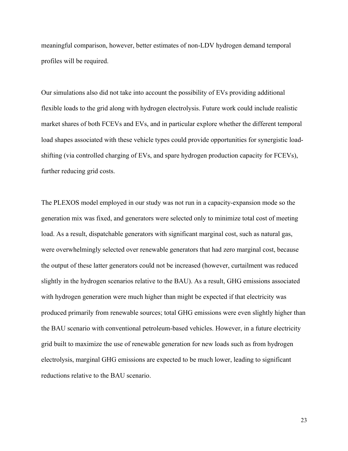meaningful comparison, however, better estimates of non-LDV hydrogen demand temporal profiles will be required.

Our simulations also did not take into account the possibility of EVs providing additional flexible loads to the grid along with hydrogen electrolysis. Future work could include realistic market shares of both FCEVs and EVs, and in particular explore whether the different temporal load shapes associated with these vehicle types could provide opportunities for synergistic loadshifting (via controlled charging of EVs, and spare hydrogen production capacity for FCEVs), further reducing grid costs.

The PLEXOS model employed in our study was not run in a capacity-expansion mode so the generation mix was fixed, and generators were selected only to minimize total cost of meeting load. As a result, dispatchable generators with significant marginal cost, such as natural gas, were overwhelmingly selected over renewable generators that had zero marginal cost, because the output of these latter generators could not be increased (however, curtailment was reduced slightly in the hydrogen scenarios relative to the BAU). As a result, GHG emissions associated with hydrogen generation were much higher than might be expected if that electricity was produced primarily from renewable sources; total GHG emissions were even slightly higher than the BAU scenario with conventional petroleum-based vehicles. However, in a future electricity grid built to maximize the use of renewable generation for new loads such as from hydrogen electrolysis, marginal GHG emissions are expected to be much lower, leading to significant reductions relative to the BAU scenario.

23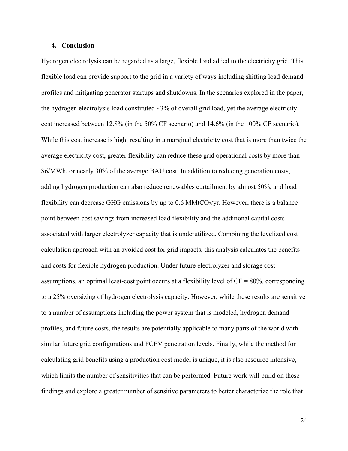## **4. Conclusion**

Hydrogen electrolysis can be regarded as a large, flexible load added to the electricity grid. This flexible load can provide support to the grid in a variety of ways including shifting load demand profiles and mitigating generator startups and shutdowns. In the scenarios explored in the paper, the hydrogen electrolysis load constituted  $\sim$ 3% of overall grid load, yet the average electricity cost increased between 12.8% (in the 50% CF scenario) and 14.6% (in the 100% CF scenario). While this cost increase is high, resulting in a marginal electricity cost that is more than twice the average electricity cost, greater flexibility can reduce these grid operational costs by more than \$6/MWh, or nearly 30% of the average BAU cost. In addition to reducing generation costs, adding hydrogen production can also reduce renewables curtailment by almost 50%, and load flexibility can decrease GHG emissions by up to 0.6 MMtCO $_2$ /yr. However, there is a balance point between cost savings from increased load flexibility and the additional capital costs associated with larger electrolyzer capacity that is underutilized. Combining the levelized cost calculation approach with an avoided cost for grid impacts, this analysis calculates the benefits and costs for flexible hydrogen production. Under future electrolyzer and storage cost assumptions, an optimal least-cost point occurs at a flexibility level of  $CF = 80\%$ , corresponding to a 25% oversizing of hydrogen electrolysis capacity. However, while these results are sensitive to a number of assumptions including the power system that is modeled, hydrogen demand profiles, and future costs, the results are potentially applicable to many parts of the world with similar future grid configurations and FCEV penetration levels. Finally, while the method for calculating grid benefits using a production cost model is unique, it is also resource intensive, which limits the number of sensitivities that can be performed. Future work will build on these findings and explore a greater number of sensitive parameters to better characterize the role that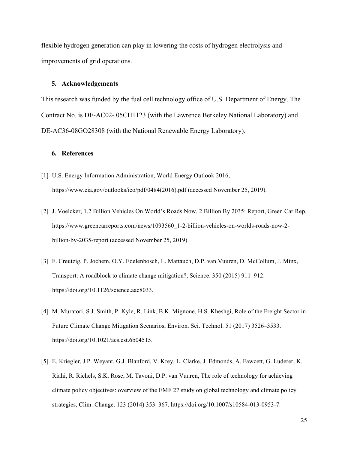flexible hydrogen generation can play in lowering the costs of hydrogen electrolysis and improvements of grid operations.

#### **5. Acknowledgements**

This research was funded by the fuel cell technology office of U.S. Department of Energy. The Contract No. is DE-AC02- 05CH1123 (with the Lawrence Berkeley National Laboratory) and DE-AC36-08GO28308 (with the National Renewable Energy Laboratory).

# **6. References**

- [1] U.S. Energy Information Administration, World Energy Outlook 2016, https://www.eia.gov/outlooks/ieo/pdf/0484(2016).pdf (accessed November 25, 2019).
- [2] J. Voelcker, 1.2 Billion Vehicles On World's Roads Now, 2 Billion By 2035: Report, Green Car Rep. https://www.greencarreports.com/news/1093560\_1-2-billion-vehicles-on-worlds-roads-now-2 billion-by-2035-report (accessed November 25, 2019).
- [3] F. Creutzig, P. Jochem, O.Y. Edelenbosch, L. Mattauch, D.P. van Vuuren, D. McCollum, J. Minx, Transport: A roadblock to climate change mitigation?, Science. 350 (2015) 911–912. https://doi.org/10.1126/science.aac8033.
- [4] M. Muratori, S.J. Smith, P. Kyle, R. Link, B.K. Mignone, H.S. Kheshgi, Role of the Freight Sector in Future Climate Change Mitigation Scenarios, Environ. Sci. Technol. 51 (2017) 3526–3533. https://doi.org/10.1021/acs.est.6b04515.
- [5] E. Kriegler, J.P. Weyant, G.J. Blanford, V. Krey, L. Clarke, J. Edmonds, A. Fawcett, G. Luderer, K. Riahi, R. Richels, S.K. Rose, M. Tavoni, D.P. van Vuuren, The role of technology for achieving climate policy objectives: overview of the EMF 27 study on global technology and climate policy strategies, Clim. Change. 123 (2014) 353–367. https://doi.org/10.1007/s10584-013-0953-7.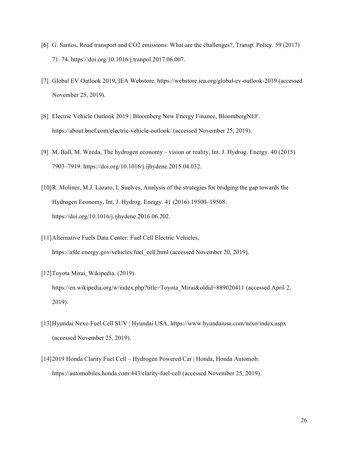- [6] G. Santos, Road transport and CO2 emissions: What are the challenges?, Transp. Policy. 59 (2017) 71–74. https://doi.org/10.1016/j.tranpol.2017.06.007.
- [7] Global EV Outlook 2019, IEA Webstore. https://webstore.iea.org/global-ev-outlook-2019 (accessed November 25, 2019).
- [8] Electric Vehicle Outlook 2019 | Bloomberg New Energy Finance, BloombergNEF. https://about.bnef.com/electric-vehicle-outlook/ (accessed November 25, 2019).
- [9] M. Ball, M. Weeda, The hydrogen economy vision or reality, Int. J. Hydrog. Energy. 40 (2015) 7903–7919. https://doi.org/10.1016/j.ijhydene.2015.04.032.
- [10]R. Moliner, M.J. Lázaro, I. Suelves, Analysis of the strategies for bridging the gap towards the Hydrogen Economy, Int. J. Hydrog. Energy. 41 (2016) 19500–19508. https://doi.org/10.1016/j.ijhydene.2016.06.202.
- [11]Alternative Fuels Data Center: Fuel Cell Electric Vehicles, https://afdc.energy.gov/vehicles/fuel\_cell.html (accessed November 20, 2019).
- [12] Toyota Mirai, Wikipedia. (2019). https://en.wikipedia.org/w/index.php?title=Toyota\_Mirai&oldid=889020411 (accessed April 2, 2019).
- [13]Hyundai Nexo Fuel Cell SUV | Hyundai USA, https://www.hyundaiusa.com/nexo/index.aspx (accessed November 25, 2019).
- [14]2019 Honda Clarity Fuel Cell Hydrogen Powered Car | Honda, Honda Automob. https://automobiles.honda.com:443/clarity-fuel-cell (accessed November 25, 2019).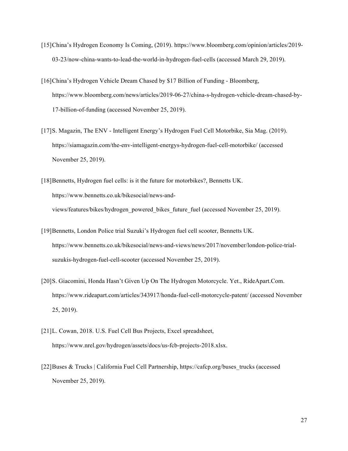- [15]China's Hydrogen Economy Is Coming, (2019). https://www.bloomberg.com/opinion/articles/2019- 03-23/now-china-wants-to-lead-the-world-in-hydrogen-fuel-cells (accessed March 29, 2019).
- [16]China's Hydrogen Vehicle Dream Chased by \$17 Billion of Funding Bloomberg, https://www.bloomberg.com/news/articles/2019-06-27/china-s-hydrogen-vehicle-dream-chased-by-17-billion-of-funding (accessed November 25, 2019).
- [17]S. Magazin, The ENV Intelligent Energy's Hydrogen Fuel Cell Motorbike, Sia Mag. (2019). https://siamagazin.com/the-env-intelligent-energys-hydrogen-fuel-cell-motorbike/ (accessed November 25, 2019).
- [18] Bennetts, Hydrogen fuel cells: is it the future for motorbikes?, Bennetts UK. https://www.bennetts.co.uk/bikesocial/news-andviews/features/bikes/hydrogen\_powered\_bikes\_future\_fuel (accessed November 25, 2019).
- [19]Bennetts, London Police trial Suzuki's Hydrogen fuel cell scooter, Bennetts UK. https://www.bennetts.co.uk/bikesocial/news-and-views/news/2017/november/london-police-trialsuzukis-hydrogen-fuel-cell-scooter (accessed November 25, 2019).
- [20]S. Giacomini, Honda Hasn't Given Up On The Hydrogen Motorcycle. Yet., RideApart.Com. https://www.rideapart.com/articles/343917/honda-fuel-cell-motorcycle-patent/ (accessed November 25, 2019).
- [21]L. Cowan, 2018. U.S. Fuel Cell Bus Projects, Excel spreadsheet, https://www.nrel.gov/hydrogen/assets/docs/us-fcb-projects-2018.xlsx.
- [22]Buses & Trucks | California Fuel Cell Partnership, https://cafcp.org/buses\_trucks (accessed November 25, 2019).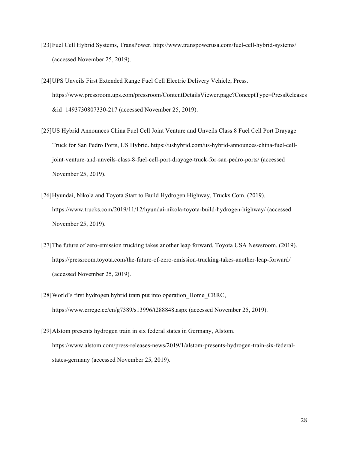- [23]Fuel Cell Hybrid Systems, TransPower. http://www.transpowerusa.com/fuel-cell-hybrid-systems/ (accessed November 25, 2019).
- [24]UPS Unveils First Extended Range Fuel Cell Electric Delivery Vehicle, Press. https://www.pressroom.ups.com/pressroom/ContentDetailsViewer.page?ConceptType=PressReleases &id=1493730807330-217 (accessed November 25, 2019).
- [25]US Hybrid Announces China Fuel Cell Joint Venture and Unveils Class 8 Fuel Cell Port Drayage Truck for San Pedro Ports, US Hybrid. https://ushybrid.com/us-hybrid-announces-china-fuel-celljoint-venture-and-unveils-class-8-fuel-cell-port-drayage-truck-for-san-pedro-ports/ (accessed November 25, 2019).
- [26]Hyundai, Nikola and Toyota Start to Build Hydrogen Highway, Trucks.Com. (2019). https://www.trucks.com/2019/11/12/hyundai-nikola-toyota-build-hydrogen-highway/ (accessed November 25, 2019).
- [27]The future of zero-emission trucking takes another leap forward, Toyota USA Newsroom. (2019). https://pressroom.toyota.com/the-future-of-zero-emission-trucking-takes-another-leap-forward/ (accessed November 25, 2019).
- [28] World's first hydrogen hybrid tram put into operation Home\_CRRC, https://www.crrcgc.cc/en/g7389/s13996/t288848.aspx (accessed November 25, 2019).
- [29]Alstom presents hydrogen train in six federal states in Germany, Alstom. https://www.alstom.com/press-releases-news/2019/1/alstom-presents-hydrogen-train-six-federalstates-germany (accessed November 25, 2019).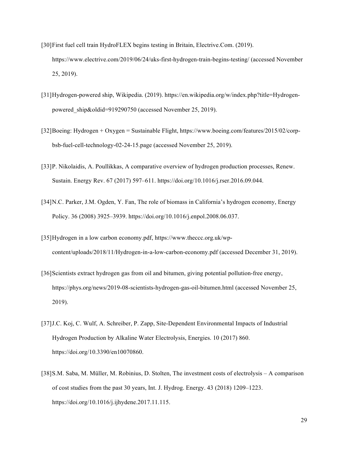- [30]First fuel cell train HydroFLEX begins testing in Britain, Electrive.Com. (2019). https://www.electrive.com/2019/06/24/uks-first-hydrogen-train-begins-testing/ (accessed November 25, 2019).
- [31]Hydrogen-powered ship, Wikipedia. (2019). https://en.wikipedia.org/w/index.php?title=Hydrogenpowered ship&oldid=919290750 (accessed November 25, 2019).
- [32]Boeing: Hydrogen + Oxygen = Sustainable Flight, https://www.boeing.com/features/2015/02/corpbsb-fuel-cell-technology-02-24-15.page (accessed November 25, 2019).
- [33]P. Nikolaidis, A. Poullikkas, A comparative overview of hydrogen production processes, Renew. Sustain. Energy Rev. 67 (2017) 597–611. https://doi.org/10.1016/j.rser.2016.09.044.
- [34]N.C. Parker, J.M. Ogden, Y. Fan, The role of biomass in California's hydrogen economy, Energy Policy. 36 (2008) 3925–3939. https://doi.org/10.1016/j.enpol.2008.06.037.
- [35]Hydrogen in a low carbon economy.pdf, https://www.theccc.org.uk/wpcontent/uploads/2018/11/Hydrogen-in-a-low-carbon-economy.pdf (accessed December 31, 2019).
- [36]Scientists extract hydrogen gas from oil and bitumen, giving potential pollution-free energy, https://phys.org/news/2019-08-scientists-hydrogen-gas-oil-bitumen.html (accessed November 25, 2019).
- [37]J.C. Koj, C. Wulf, A. Schreiber, P. Zapp, Site-Dependent Environmental Impacts of Industrial Hydrogen Production by Alkaline Water Electrolysis, Energies. 10 (2017) 860. https://doi.org/10.3390/en10070860.
- [38]S.M. Saba, M. Müller, M. Robinius, D. Stolten, The investment costs of electrolysis A comparison of cost studies from the past 30 years, Int. J. Hydrog. Energy. 43 (2018) 1209–1223. https://doi.org/10.1016/j.ijhydene.2017.11.115.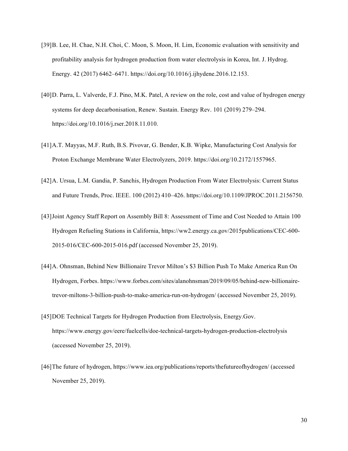- [39]B. Lee, H. Chae, N.H. Choi, C. Moon, S. Moon, H. Lim, Economic evaluation with sensitivity and profitability analysis for hydrogen production from water electrolysis in Korea, Int. J. Hydrog. Energy. 42 (2017) 6462–6471. https://doi.org/10.1016/j.ijhydene.2016.12.153.
- [40]D. Parra, L. Valverde, F.J. Pino, M.K. Patel, A review on the role, cost and value of hydrogen energy systems for deep decarbonisation, Renew. Sustain. Energy Rev. 101 (2019) 279–294. https://doi.org/10.1016/j.rser.2018.11.010.
- [41]A.T. Mayyas, M.F. Ruth, B.S. Pivovar, G. Bender, K.B. Wipke, Manufacturing Cost Analysis for Proton Exchange Membrane Water Electrolyzers, 2019. https://doi.org/10.2172/1557965.
- [42]A. Ursua, L.M. Gandia, P. Sanchis, Hydrogen Production From Water Electrolysis: Current Status and Future Trends, Proc. IEEE. 100 (2012) 410–426. https://doi.org/10.1109/JPROC.2011.2156750.
- [43]Joint Agency Staff Report on Assembly Bill 8: Assessment of Time and Cost Needed to Attain 100 Hydrogen Refueling Stations in California, https://ww2.energy.ca.gov/2015publications/CEC-600- 2015-016/CEC-600-2015-016.pdf (accessed November 25, 2019).
- [44]A. Ohnsman, Behind New Billionaire Trevor Milton's \$3 Billion Push To Make America Run On Hydrogen, Forbes. https://www.forbes.com/sites/alanohnsman/2019/09/05/behind-new-billionairetrevor-miltons-3-billion-push-to-make-america-run-on-hydrogen/ (accessed November 25, 2019).
- [45]DOE Technical Targets for Hydrogen Production from Electrolysis, Energy.Gov. https://www.energy.gov/eere/fuelcells/doe-technical-targets-hydrogen-production-electrolysis (accessed November 25, 2019).
- [46]The future of hydrogen, https://www.iea.org/publications/reports/thefutureofhydrogen/ (accessed November 25, 2019).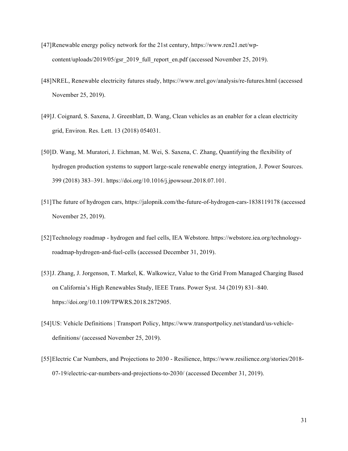- [47]Renewable energy policy network for the 21st century, https://www.ren21.net/wpcontent/uploads/2019/05/gsr\_2019\_full\_report\_en.pdf (accessed November 25, 2019).
- [48]NREL, Renewable electricity futures study, https://www.nrel.gov/analysis/re-futures.html (accessed November 25, 2019).
- [49]J. Coignard, S. Saxena, J. Greenblatt, D. Wang, Clean vehicles as an enabler for a clean electricity grid, Environ. Res. Lett. 13 (2018) 054031.
- [50]D. Wang, M. Muratori, J. Eichman, M. Wei, S. Saxena, C. Zhang, Quantifying the flexibility of hydrogen production systems to support large-scale renewable energy integration, J. Power Sources. 399 (2018) 383–391. https://doi.org/10.1016/j.jpowsour.2018.07.101.
- [51]The future of hydrogen cars, https://jalopnik.com/the-future-of-hydrogen-cars-1838119178 (accessed November 25, 2019).
- [52]Technology roadmap hydrogen and fuel cells, IEA Webstore. https://webstore.iea.org/technologyroadmap-hydrogen-and-fuel-cells (accessed December 31, 2019).
- [53]J. Zhang, J. Jorgenson, T. Markel, K. Walkowicz, Value to the Grid From Managed Charging Based on California's High Renewables Study, IEEE Trans. Power Syst. 34 (2019) 831–840. https://doi.org/10.1109/TPWRS.2018.2872905.
- [54]US: Vehicle Definitions | Transport Policy, https://www.transportpolicy.net/standard/us-vehicledefinitions/ (accessed November 25, 2019).
- [55]Electric Car Numbers, and Projections to 2030 Resilience, https://www.resilience.org/stories/2018- 07-19/electric-car-numbers-and-projections-to-2030/ (accessed December 31, 2019).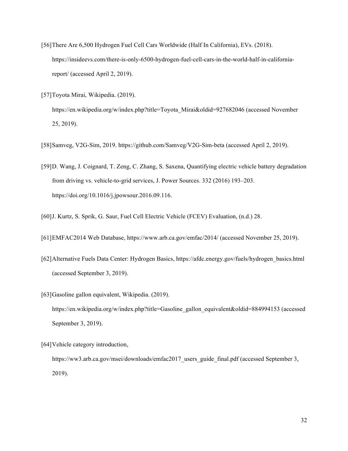- [56]There Are 6,500 Hydrogen Fuel Cell Cars Worldwide (Half In California), EVs. (2018). https://insideevs.com/there-is-only-6500-hydrogen-fuel-cell-cars-in-the-world-half-in-californiareport/ (accessed April 2, 2019).
- [57]Toyota Mirai, Wikipedia. (2019). https://en.wikipedia.org/w/index.php?title=Toyota\_Mirai&oldid=927682046 (accessed November 25, 2019).
- [58]Samveg, V2G-Sim, 2019. https://github.com/Samveg/V2G-Sim-beta (accessed April 2, 2019).
- [59]D. Wang, J. Coignard, T. Zeng, C. Zhang, S. Saxena, Quantifying electric vehicle battery degradation from driving vs. vehicle-to-grid services, J. Power Sources. 332 (2016) 193–203. https://doi.org/10.1016/j.jpowsour.2016.09.116.
- [60]J. Kurtz, S. Sprik, G. Saur, Fuel Cell Electric Vehicle (FCEV) Evaluation, (n.d.) 28.
- [61]EMFAC2014 Web Database, https://www.arb.ca.gov/emfac/2014/ (accessed November 25, 2019).
- [62]Alternative Fuels Data Center: Hydrogen Basics, https://afdc.energy.gov/fuels/hydrogen\_basics.html (accessed September 3, 2019).
- [63]Gasoline gallon equivalent, Wikipedia. (2019). https://en.wikipedia.org/w/index.php?title=Gasoline\_gallon\_equivalent&oldid=884994153 (accessed September 3, 2019).
- [64]Vehicle category introduction, https://ww3.arb.ca.gov/msei/downloads/emfac2017 users guide final.pdf (accessed September 3, 2019).